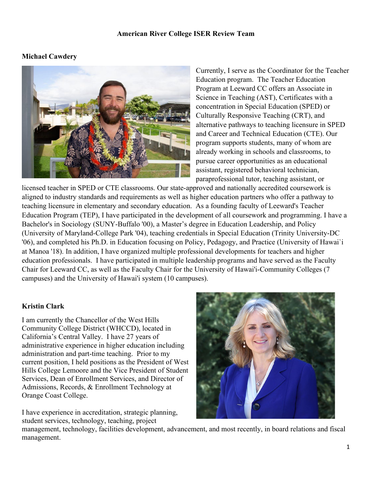### **American River College ISER Review Team**

# **Michael Cawdery**



Currently, I serve as the Coordinator for the Teacher Education program. The Teacher Education Program at Leeward CC offers an Associate in Science in Teaching (AST), Certificates with a concentration in Special Education (SPED) or Culturally Responsive Teaching (CRT), and alternative pathways to teaching licensure in SPED and Career and Technical Education (CTE). Our program supports students, many of whom are already working in schools and classrooms, to pursue career opportunities as an educational assistant, registered behavioral technician, paraprofessional tutor, teaching assistant, or

licensed teacher in SPED or CTE classrooms. Our state-approved and nationally accredited coursework is aligned to industry standards and requirements as well as higher education partners who offer a pathway to teaching licensure in elementary and secondary education. As a founding faculty of Leeward's Teacher Education Program (TEP), I have participated in the development of all coursework and programming. I have a Bachelor's in Sociology (SUNY-Buffalo '00), a Master's degree in Education Leadership, and Policy (University of Maryland-College Park '04), teaching credentials in Special Education (Trinity University-DC '06), and completed his Ph.D. in Education focusing on Policy, Pedagogy, and Practice (University of Hawai`i at Manoa '18). In addition, I have organized multiple professional developments for teachers and higher education professionals. I have participated in multiple leadership programs and have served as the Faculty Chair for Leeward CC, as well as the Faculty Chair for the University of Hawai'i-Community Colleges (7 campuses) and the University of Hawai'i system (10 campuses).

## **Kristin Clark**

I am currently the Chancellor of the West Hills Community College District (WHCCD), located in California's Central Valley. I have 27 years of administrative experience in higher education including administration and part-time teaching. Prior to my current position, I held positions as the President of West Hills College Lemoore and the Vice President of Student Services, Dean of Enrollment Services, and Director of Admissions, Records, & Enrollment Technology at Orange Coast College.

I have experience in accreditation, strategic planning, student services, technology, teaching, project



management, technology, facilities development, advancement, and most recently, in board relations and fiscal management.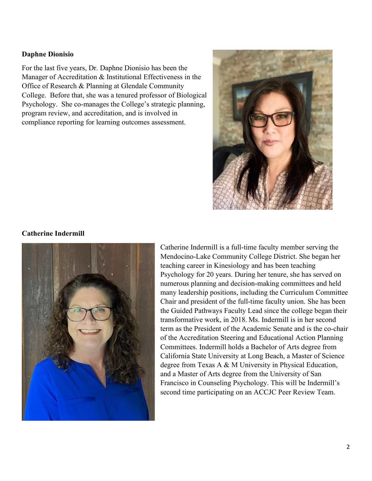### **Daphne Dionisio**

For the last five years, Dr. Daphne Dionisio has been the Manager of Accreditation & Institutional Effectiveness in the Office of Research & Planning at Glendale Community College. Before that, she was a tenured professor of Biological Psychology. She co-manages the College's strategic planning, program review, and accreditation, and is involved in compliance reporting for learning outcomes assessment.



#### **Catherine Indermill**



Catherine Indermill is a full-time faculty member serving the Mendocino-Lake Community College District. She began her teaching career in Kinesiology and has been teaching Psychology for 20 years. During her tenure, she has served on numerous planning and decision-making committees and held many leadership positions, including the Curriculum Committee Chair and president of the full-time faculty union. She has been the Guided Pathways Faculty Lead since the college began their transformative work, in 2018. Ms. Indermill is in her second term as the President of the Academic Senate and is the co-chair of the Accreditation Steering and Educational Action Planning Committees. Indermill holds a Bachelor of Arts degree from California State University at Long Beach, a Master of Science degree from Texas A & M University in Physical Education, and a Master of Arts degree from the University of San Francisco in Counseling Psychology. This will be Indermill's second time participating on an ACCJC Peer Review Team.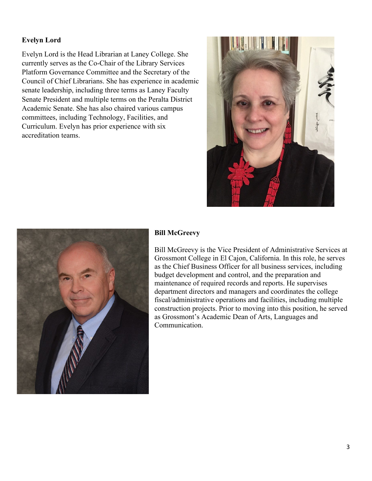# **Evelyn Lord**

Evelyn Lord is the Head Librarian at Laney College. She currently serves as the Co-Chair of the Library Services Platform Governance Committee and the Secretary of the Council of Chief Librarians. She has experience in academic senate leadership, including three terms as Laney Faculty Senate President and multiple terms on the Peralta District Academic Senate. She has also chaired various campus committees, including Technology, Facilities, and Curriculum. Evelyn has prior experience with six accreditation teams.





## **Bill McGreevy**

Bill McGreevy is the Vice President of Administrative Services at Grossmont College in El Cajon, California. In this role, he serves as the Chief Business Officer for all business services, including budget development and control, and the preparation and maintenance of required records and reports. He supervises department directors and managers and coordinates the college fiscal/administrative operations and facilities, including multiple construction projects. Prior to moving into this position, he served as Grossmont's Academic Dean of Arts, Languages and Communication.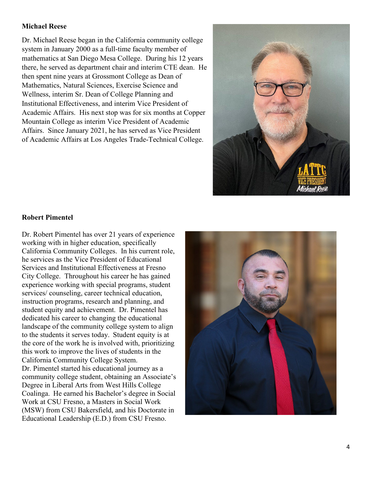## **Michael Reese**

Dr. Michael Reese began in the California community college system in January 2000 as a full-time faculty member of mathematics at San Diego Mesa College. During his 12 years there, he served as department chair and interim CTE dean. He then spent nine years at Grossmont College as Dean of Mathematics, Natural Sciences, Exercise Science and Wellness, interim Sr. Dean of College Planning and Institutional Effectiveness, and interim Vice President of Academic Affairs. His next stop was for six months at Copper Mountain College as interim Vice President of Academic Affairs. Since January 2021, he has served as Vice President of Academic Affairs at Los Angeles Trade-Technical College.



#### **Robert Pimentel**

Dr. Robert Pimentel has over 21 years of experience working with in higher education, specifically California Community Colleges. In his current role, he services as the Vice President of Educational Services and Institutional Effectiveness at Fresno City College. Throughout his career he has gained experience working with special programs, student services/ counseling, career technical education, instruction programs, research and planning, and student equity and achievement.  Dr. Pimentel has dedicated his career to changing the educational landscape of the community college system to align to the students it serves today.  Student equity is at the core of the work he is involved with, prioritizing this work to improve the lives of students in the California Community College System.  Dr. Pimentel started his educational journey as a community college student, obtaining an Associate's Degree in Liberal Arts from West Hills College Coalinga.  He earned his Bachelor's degree in Social Work at CSU Fresno, a Masters in Social Work (MSW) from CSU Bakersfield, and his Doctorate in Educational Leadership (E.D.) from CSU Fresno.